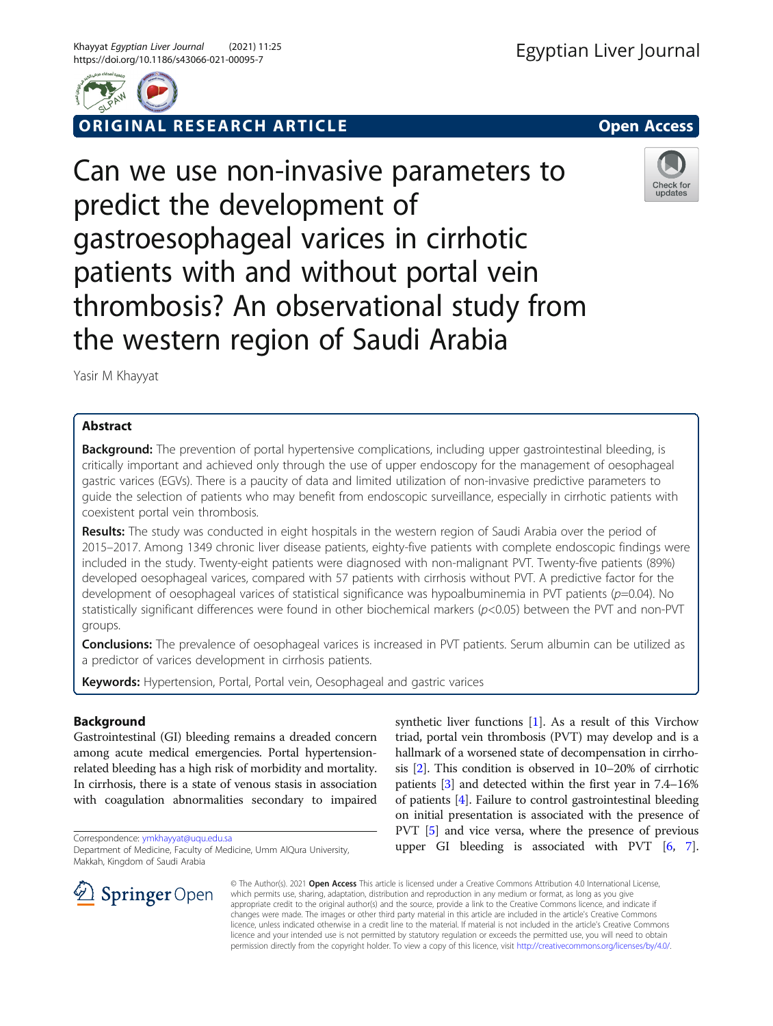

ORIGINAL RESEARCH ARTICLE **Solution Contract Contract Contract Contract Contract Contract Contract Contract Contract Contract Contract Contract Contract Contract Contract Contract Contract Contract Contract Contract Contra** 



Can we use non-invasive parameters to predict the development of gastroesophageal varices in cirrhotic patients with and without portal vein thrombosis? An observational study from the western region of Saudi Arabia

Yasir M Khayyat

# Abstract

Background: The prevention of portal hypertensive complications, including upper gastrointestinal bleeding, is critically important and achieved only through the use of upper endoscopy for the management of oesophageal gastric varices (EGVs). There is a paucity of data and limited utilization of non-invasive predictive parameters to guide the selection of patients who may benefit from endoscopic surveillance, especially in cirrhotic patients with coexistent portal vein thrombosis.

Results: The study was conducted in eight hospitals in the western region of Saudi Arabia over the period of 2015–2017. Among 1349 chronic liver disease patients, eighty-five patients with complete endoscopic findings were included in the study. Twenty-eight patients were diagnosed with non-malignant PVT. Twenty-five patients (89%) developed oesophageal varices, compared with 57 patients with cirrhosis without PVT. A predictive factor for the development of oesophageal varices of statistical significance was hypoalbuminemia in PVT patients (p=0.04). No statistically significant differences were found in other biochemical markers (p<0.05) between the PVT and non-PVT groups.

Conclusions: The prevalence of oesophageal varices is increased in PVT patients. Serum albumin can be utilized as a predictor of varices development in cirrhosis patients.

Keywords: Hypertension, Portal, Portal vein, Oesophageal and gastric varices

# Background

Gastrointestinal (GI) bleeding remains a dreaded concern among acute medical emergencies. Portal hypertensionrelated bleeding has a high risk of morbidity and mortality. In cirrhosis, there is a state of venous stasis in association with coagulation abnormalities secondary to impaired

Correspondence: [ymkhayyat@uqu.edu.sa](mailto:ymkhayyat@uqu.edu.sa)

Department of Medicine, Faculty of Medicine, Umm AlQura University, Makkah, Kingdom of Saudi Arabia



synthetic liver functions [\[1](#page-4-0)]. As a result of this Virchow triad, portal vein thrombosis (PVT) may develop and is a hallmark of a worsened state of decompensation in cirrhosis [\[2\]](#page-4-0). This condition is observed in 10–20% of cirrhotic patients [[3](#page-4-0)] and detected within the first year in 7.4–16% of patients [\[4](#page-4-0)]. Failure to control gastrointestinal bleeding on initial presentation is associated with the presence of PVT [[5](#page-4-0)] and vice versa, where the presence of previous upper GI bleeding is associated with PVT [[6](#page-4-0), [7](#page-4-0)].

© The Author(s). 2021 Open Access This article is licensed under a Creative Commons Attribution 4.0 International License, which permits use, sharing, adaptation, distribution and reproduction in any medium or format, as long as you give appropriate credit to the original author(s) and the source, provide a link to the Creative Commons licence, and indicate if changes were made. The images or other third party material in this article are included in the article's Creative Commons licence, unless indicated otherwise in a credit line to the material. If material is not included in the article's Creative Commons licence and your intended use is not permitted by statutory regulation or exceeds the permitted use, you will need to obtain permission directly from the copyright holder. To view a copy of this licence, visit <http://creativecommons.org/licenses/by/4.0/>.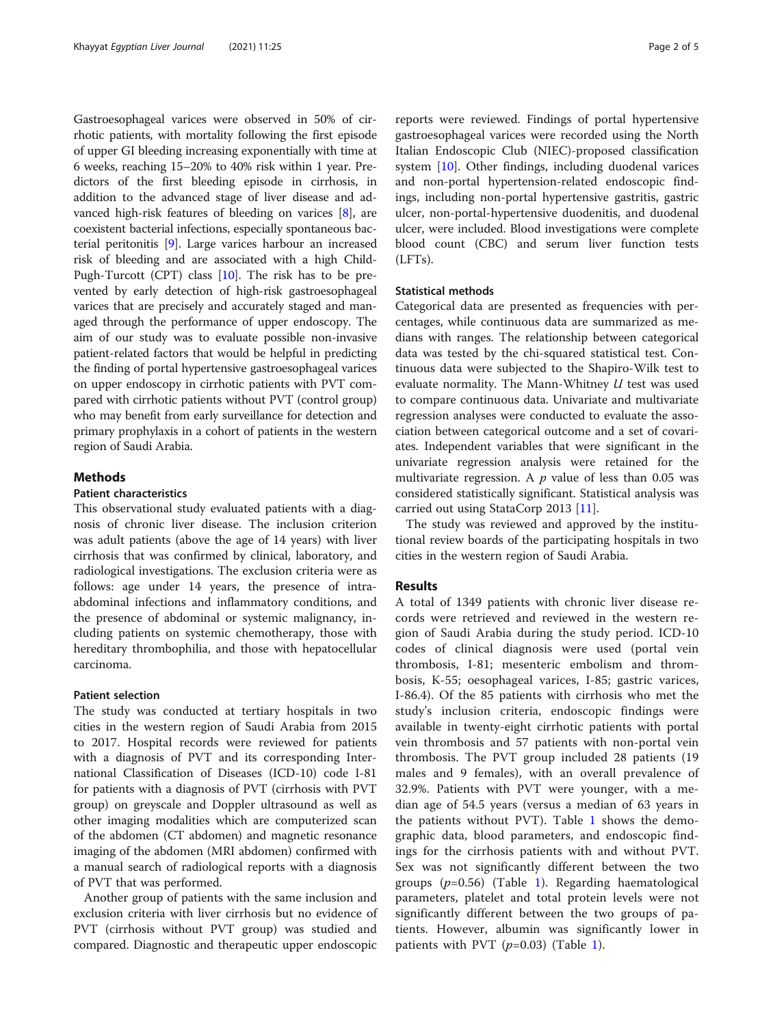Gastroesophageal varices were observed in 50% of cirrhotic patients, with mortality following the first episode of upper GI bleeding increasing exponentially with time at 6 weeks, reaching 15–20% to 40% risk within 1 year. Predictors of the first bleeding episode in cirrhosis, in addition to the advanced stage of liver disease and advanced high-risk features of bleeding on varices [\[8\]](#page-4-0), are coexistent bacterial infections, especially spontaneous bacterial peritonitis [[9](#page-4-0)]. Large varices harbour an increased risk of bleeding and are associated with a high Child-Pugh-Turcott (CPT) class [\[10\]](#page-4-0). The risk has to be prevented by early detection of high-risk gastroesophageal varices that are precisely and accurately staged and managed through the performance of upper endoscopy. The aim of our study was to evaluate possible non-invasive patient-related factors that would be helpful in predicting the finding of portal hypertensive gastroesophageal varices on upper endoscopy in cirrhotic patients with PVT compared with cirrhotic patients without PVT (control group) who may benefit from early surveillance for detection and primary prophylaxis in a cohort of patients in the western region of Saudi Arabia.

# **Methods**

## Patient characteristics

This observational study evaluated patients with a diagnosis of chronic liver disease. The inclusion criterion was adult patients (above the age of 14 years) with liver cirrhosis that was confirmed by clinical, laboratory, and radiological investigations. The exclusion criteria were as follows: age under 14 years, the presence of intraabdominal infections and inflammatory conditions, and the presence of abdominal or systemic malignancy, including patients on systemic chemotherapy, those with hereditary thrombophilia, and those with hepatocellular carcinoma.

# Patient selection

The study was conducted at tertiary hospitals in two cities in the western region of Saudi Arabia from 2015 to 2017. Hospital records were reviewed for patients with a diagnosis of PVT and its corresponding International Classification of Diseases (ICD-10) code I-81 for patients with a diagnosis of PVT (cirrhosis with PVT group) on greyscale and Doppler ultrasound as well as other imaging modalities which are computerized scan of the abdomen (CT abdomen) and magnetic resonance imaging of the abdomen (MRI abdomen) confirmed with a manual search of radiological reports with a diagnosis of PVT that was performed.

Another group of patients with the same inclusion and exclusion criteria with liver cirrhosis but no evidence of PVT (cirrhosis without PVT group) was studied and compared. Diagnostic and therapeutic upper endoscopic reports were reviewed. Findings of portal hypertensive gastroesophageal varices were recorded using the North Italian Endoscopic Club (NIEC)-proposed classification system [[10\]](#page-4-0). Other findings, including duodenal varices and non-portal hypertension-related endoscopic findings, including non-portal hypertensive gastritis, gastric ulcer, non-portal-hypertensive duodenitis, and duodenal ulcer, were included. Blood investigations were complete blood count (CBC) and serum liver function tests (LFTs).

#### Statistical methods

Categorical data are presented as frequencies with percentages, while continuous data are summarized as medians with ranges. The relationship between categorical data was tested by the chi-squared statistical test. Continuous data were subjected to the Shapiro-Wilk test to evaluate normality. The Mann-Whitney  $U$  test was used to compare continuous data. Univariate and multivariate regression analyses were conducted to evaluate the association between categorical outcome and a set of covariates. Independent variables that were significant in the univariate regression analysis were retained for the multivariate regression. A  $p$  value of less than 0.05 was considered statistically significant. Statistical analysis was carried out using StataCorp 2013 [[11\]](#page-4-0).

The study was reviewed and approved by the institutional review boards of the participating hospitals in two cities in the western region of Saudi Arabia.

# Results

A total of 1349 patients with chronic liver disease records were retrieved and reviewed in the western region of Saudi Arabia during the study period. ICD-10 codes of clinical diagnosis were used (portal vein thrombosis, I-81; mesenteric embolism and thrombosis, K-55; oesophageal varices, I-85; gastric varices, I-86.4). Of the 85 patients with cirrhosis who met the study's inclusion criteria, endoscopic findings were available in twenty-eight cirrhotic patients with portal vein thrombosis and 57 patients with non-portal vein thrombosis. The PVT group included 28 patients (19 males and 9 females), with an overall prevalence of 32.9%. Patients with PVT were younger, with a median age of 54.5 years (versus a median of 63 years in the patients without PVT). Table [1](#page-2-0) shows the demographic data, blood parameters, and endoscopic findings for the cirrhosis patients with and without PVT. Sex was not significantly different between the two groups  $(p=0.56)$  (Table [1](#page-2-0)). Regarding haematological parameters, platelet and total protein levels were not significantly different between the two groups of patients. However, albumin was significantly lower in patients with PVT  $(p=0.03)$  (Table [1\)](#page-2-0).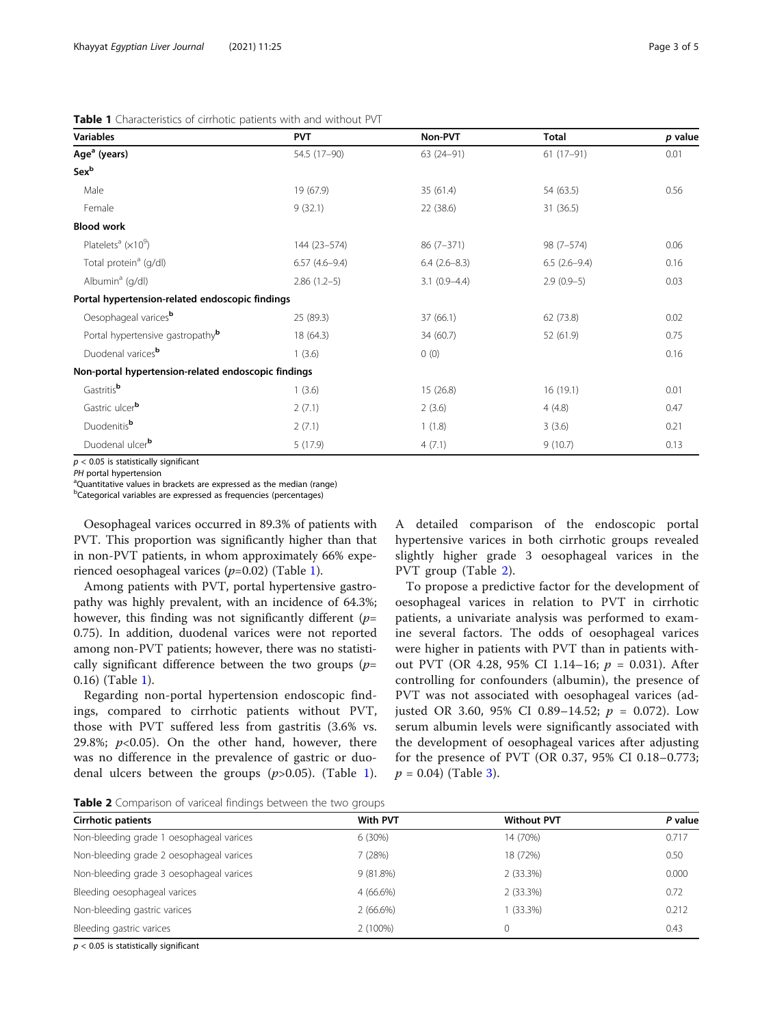### <span id="page-2-0"></span>Table 1 Characteristics of cirrhotic patients with and without PVT

| <b>Variables</b>                                    | <b>PVT</b>      | Non-PVT        | <b>Total</b>   | p value |
|-----------------------------------------------------|-----------------|----------------|----------------|---------|
| Age <sup>a</sup> (years)                            | 54.5 (17-90)    | $63(24-91)$    | $61(17-91)$    | 0.01    |
| Sexb                                                |                 |                |                |         |
| Male                                                | 19 (67.9)       | 35(61.4)       | 54 (63.5)      | 0.56    |
| Female                                              | 9(32.1)         | 22 (38.6)      | 31(36.5)       |         |
| <b>Blood work</b>                                   |                 |                |                |         |
| Platelets <sup>a</sup> ( $\times$ 10 <sup>9</sup> ) | 144 (23-574)    | $86(7-371)$    | 98 (7-574)     | 0.06    |
| Total protein <sup>a</sup> (g/dl)                   | $6.57(4.6-9.4)$ | $6.4(2.6-8.3)$ | $6.5(2.6-9.4)$ | 0.16    |
| Albumin <sup>a</sup> (g/dl)                         | $2.86(1.2-5)$   | $3.1(0.9-4.4)$ | $2.9(0.9-5)$   | 0.03    |
| Portal hypertension-related endoscopic findings     |                 |                |                |         |
| Oesophageal varices <sup>b</sup>                    | 25 (89.3)       | 37(66.1)       | 62 (73.8)      | 0.02    |
| Portal hypertensive gastropathy <sup>b</sup>        | 18 (64.3)       | 34 (60.7)      | 52 (61.9)      | 0.75    |
| Duodenal varices <sup>b</sup>                       | 1(3.6)          | 0(0)           |                | 0.16    |
| Non-portal hypertension-related endoscopic findings |                 |                |                |         |
| Gastritisb                                          | 1(3.6)          | 15(26.8)       | 16(19.1)       | 0.01    |
| Gastric ulcerb                                      | 2(7.1)          | 2(3.6)         | 4(4.8)         | 0.47    |
| Duodenitis <sup>b</sup>                             | 2(7.1)          | 1(1.8)         | 3(3.6)         | 0.21    |
| Duodenal ulcer <sup>b</sup>                         | 5(17.9)         | 4(7.1)         | 9(10.7)        | 0.13    |

 $p < 0.05$  is statistically significant

PH portal hypertension

<sup>a</sup>Quantitative values in brackets are expressed as the median (range)

<sup>b</sup>Categorical variables are expressed as frequencies (percentages)

Oesophageal varices occurred in 89.3% of patients with PVT. This proportion was significantly higher than that in non-PVT patients, in whom approximately 66% experienced oesophageal varices  $(p=0.02)$  (Table 1).

Among patients with PVT, portal hypertensive gastropathy was highly prevalent, with an incidence of 64.3%; however, this finding was not significantly different  $(p=$ 0.75). In addition, duodenal varices were not reported among non-PVT patients; however, there was no statistically significant difference between the two groups  $(p=$ 0.16) (Table 1).

Regarding non-portal hypertension endoscopic findings, compared to cirrhotic patients without PVT, those with PVT suffered less from gastritis (3.6% vs. 29.8%;  $p<0.05$ ). On the other hand, however, there was no difference in the prevalence of gastric or duodenal ulcers between the groups  $(p>0.05)$ . (Table 1).

A detailed comparison of the endoscopic portal hypertensive varices in both cirrhotic groups revealed slightly higher grade 3 oesophageal varices in the PVT group (Table 2).

To propose a predictive factor for the development of oesophageal varices in relation to PVT in cirrhotic patients, a univariate analysis was performed to examine several factors. The odds of oesophageal varices were higher in patients with PVT than in patients without PVT (OR 4.28, 95% CI 1.14–16;  $p = 0.031$ ). After controlling for confounders (albumin), the presence of PVT was not associated with oesophageal varices (adjusted OR 3.60, 95% CI 0.89–14.52;  $p = 0.072$ ). Low serum albumin levels were significantly associated with the development of oesophageal varices after adjusting for the presence of PVT (OR 0.37, 95% CI 0.18–0.773;  $p = 0.04$ ) (Table [3\)](#page-3-0).

Table 2 Comparison of variceal findings between the two groups

| <b>Cirrhotic patients</b>                | With PVT    | <b>Without PVT</b> | P value |
|------------------------------------------|-------------|--------------------|---------|
| Non-bleeding grade 1 oesophageal varices | 6(30%)      | 14 (70%)           | 0.717   |
| Non-bleeding grade 2 oesophageal varices | 7 (28%)     | 18 (72%)           | 0.50    |
| Non-bleeding grade 3 oesophageal varices | $9(81.8\%)$ | 2(33.3%)           | 0.000   |
| Bleeding oesophageal varices             | $4(66.6\%)$ | 2(33.3%)           | 0.72    |
| Non-bleeding gastric varices             | 2(66.6%)    | $(33.3\%)$         | 0.212   |
| Bleeding gastric varices                 | $2(100\%)$  | $\Omega$           | 0.43    |
|                                          |             |                    |         |

 $p < 0.05$  is statistically significant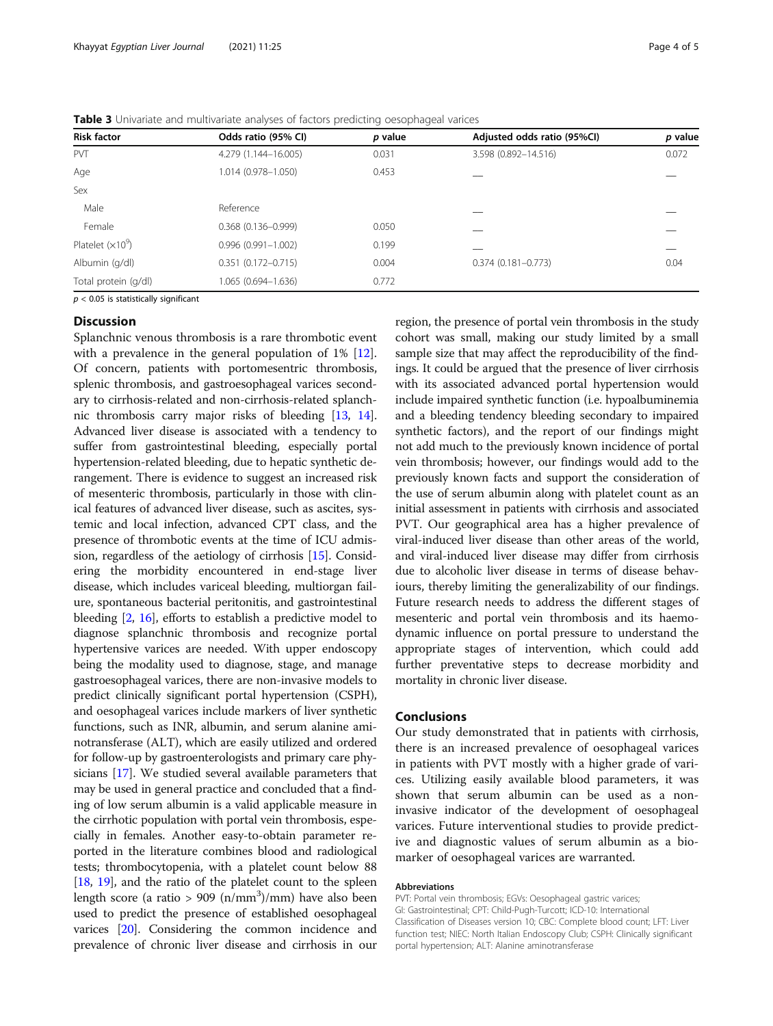| <b>Risk factor</b>   | Odds ratio (95% CI)    | p value | Adjusted odds ratio (95%Cl) | p value |
|----------------------|------------------------|---------|-----------------------------|---------|
| <b>PVT</b>           | 4.279 (1.144-16.005)   | 0.031   | 3.598 (0.892-14.516)        | 0.072   |
| Age                  | 1.014 (0.978-1.050)    | 0.453   |                             |         |
| Sex                  |                        |         |                             |         |
| Male                 | Reference              |         |                             |         |
| Female               | $0.368(0.136 - 0.999)$ | 0.050   |                             |         |
| Platelet $(x10^9)$   | $0.996(0.991 - 1.002)$ | 0.199   |                             |         |
| Albumin (g/dl)       | $0.351(0.172 - 0.715)$ | 0.004   | $0.374(0.181 - 0.773)$      | 0.04    |
| Total protein (g/dl) | 1.065 (0.694-1.636)    | 0.772   |                             |         |

<span id="page-3-0"></span>Table 3 Univariate and multivariate analyses of factors predicting oesophageal varices

 $p < 0.05$  is statistically significant

#### **Discussion**

Splanchnic venous thrombosis is a rare thrombotic event with a prevalence in the general population of 1% [\[12](#page-4-0)]. Of concern, patients with portomesentric thrombosis, splenic thrombosis, and gastroesophageal varices secondary to cirrhosis-related and non-cirrhosis-related splanchnic thrombosis carry major risks of bleeding [\[13](#page-4-0), [14](#page-4-0)]. Advanced liver disease is associated with a tendency to suffer from gastrointestinal bleeding, especially portal hypertension-related bleeding, due to hepatic synthetic derangement. There is evidence to suggest an increased risk of mesenteric thrombosis, particularly in those with clinical features of advanced liver disease, such as ascites, systemic and local infection, advanced CPT class, and the presence of thrombotic events at the time of ICU admission, regardless of the aetiology of cirrhosis [\[15](#page-4-0)]. Considering the morbidity encountered in end-stage liver disease, which includes variceal bleeding, multiorgan failure, spontaneous bacterial peritonitis, and gastrointestinal bleeding [[2,](#page-4-0) [16\]](#page-4-0), efforts to establish a predictive model to diagnose splanchnic thrombosis and recognize portal hypertensive varices are needed. With upper endoscopy being the modality used to diagnose, stage, and manage gastroesophageal varices, there are non-invasive models to predict clinically significant portal hypertension (CSPH), and oesophageal varices include markers of liver synthetic functions, such as INR, albumin, and serum alanine aminotransferase (ALT), which are easily utilized and ordered for follow-up by gastroenterologists and primary care physicians [[17](#page-4-0)]. We studied several available parameters that may be used in general practice and concluded that a finding of low serum albumin is a valid applicable measure in the cirrhotic population with portal vein thrombosis, especially in females. Another easy-to-obtain parameter reported in the literature combines blood and radiological tests; thrombocytopenia, with a platelet count below 88 [[18](#page-4-0), [19\]](#page-4-0), and the ratio of the platelet count to the spleen length score (a ratio > 909 (n/mm $^3$ )/mm) have also been used to predict the presence of established oesophageal varices [\[20](#page-4-0)]. Considering the common incidence and prevalence of chronic liver disease and cirrhosis in our region, the presence of portal vein thrombosis in the study cohort was small, making our study limited by a small sample size that may affect the reproducibility of the findings. It could be argued that the presence of liver cirrhosis with its associated advanced portal hypertension would include impaired synthetic function (i.e. hypoalbuminemia and a bleeding tendency bleeding secondary to impaired synthetic factors), and the report of our findings might not add much to the previously known incidence of portal vein thrombosis; however, our findings would add to the previously known facts and support the consideration of the use of serum albumin along with platelet count as an initial assessment in patients with cirrhosis and associated PVT. Our geographical area has a higher prevalence of viral-induced liver disease than other areas of the world, and viral-induced liver disease may differ from cirrhosis due to alcoholic liver disease in terms of disease behaviours, thereby limiting the generalizability of our findings. Future research needs to address the different stages of mesenteric and portal vein thrombosis and its haemodynamic influence on portal pressure to understand the appropriate stages of intervention, which could add further preventative steps to decrease morbidity and mortality in chronic liver disease.

# Conclusions

Our study demonstrated that in patients with cirrhosis, there is an increased prevalence of oesophageal varices in patients with PVT mostly with a higher grade of varices. Utilizing easily available blood parameters, it was shown that serum albumin can be used as a noninvasive indicator of the development of oesophageal varices. Future interventional studies to provide predictive and diagnostic values of serum albumin as a biomarker of oesophageal varices are warranted.

#### Abbreviations

PVT: Portal vein thrombosis; EGVs: Oesophageal gastric varices; GI: Gastrointestinal; CPT: Child-Pugh-Turcott; ICD-10: International Classification of Diseases version 10; CBC: Complete blood count; LFT: Liver function test; NIEC: North Italian Endoscopy Club; CSPH: Clinically significant portal hypertension; ALT: Alanine aminotransferase